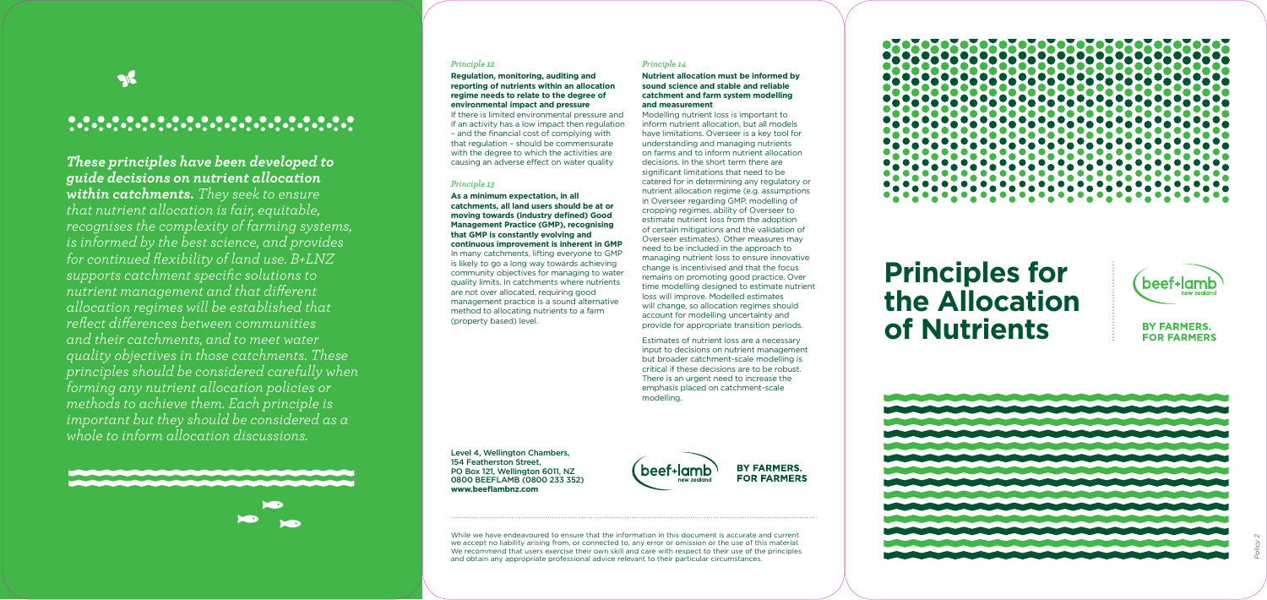## 

OIF

## *These principles have been developed to guide decisions on nutrient allocation within catchments. They seek to ensure that nutrient allocation is fair, equitable, recognises the complexity of farming systems, is informed by the best science, and provides for continued flexibility of land use. B+LNZ*

*supports catchment specific solutions to nutrient management and that different allocation regimes will be established that reflect differences between communities and their catchments, and to meet water quality objectives in those catchments. These principles should be considered carefully when forming any nutrient allocation policies or methods to achieve them. Each principle is important but they should be considered as a* 

# *whole to inform allocation discussions.*



#### *Principle 12*

**Regulation, monitoring, auditing and reporting of nutrients within an allocation regime needs to relate to the degree of environmental impact and pressure** 

If there is limited environmental pressure and if an activity has a low impact then regulation – and the financial cost of complying with that regulation – should be commensurate with the degree to which the activities are causing an adverse effect on water quality

#### *Principle 13*

**As a minimum expectation, in all catchments, all land users should be at or moving towards (industry defined) Good Management Practice (GMP), recognising that GMP is constantly evolving and continuous improvement is inherent in GMP** In many catchments, lifting everyone to GMP is likely to go a long way towards achieving community objectives for managing to water quality limits. In catchments where nutrients are not over allocated, requiring good management practice is a sound alternative method to allocating nutrients to a farm (property based) level.

### *Principle 14*

#### **Nutrient allocation must be informed by sound science and stable and reliable catchment and farm system modelling and measurement**

Modelling nutrient loss is important to inform nutrient allocation, but all models have limitations. Overseer is a key tool for understanding and managing nutrients on farms and to inform nutrient allocation decisions. In the short term there are significant limitations that need to be catered for in determining any regulatory or nutrient allocation regime (e.g. assumptions in Overseer regarding GMP, modelling of cropping regimes, ability of Overseer to estimate nutrient loss from the adoption of certain mitigations and the validation of Overseer estimates). Other measures may need to be included in the approach to managing nutrient loss to ensure innovative change is incentivised and that the focus remains on promoting good practice. Over time modelling designed to estimate nutrient loss will improve. Modelled estimates will change, so allocation regimes should account for modelling uncertainty and provide for appropriate transition periods.

Estimates of nutrient loss are a necessary input to decisions on nutrient management but broader catchment-scale modelling is critical if these decisions are to be robust. There is an urgent need to increase the emphasis placed on catchment-scale modelling.

While we have endeavoured to ensure that the information in this document is accurate and current we accept no liability arising from, or connected to, any error or omission or the use of this material. We recommend that users exercise their own skill and care with respect to their use of the principles and obtain any appropriate professional advice relevant to their particular circumstances.

## <u> 2000 - 2000 - 2000 - 2000 - 2000 - 2000 - 2000 - 2000 - 2000 - 2000 - 2000 - 2000 - 2000 - 2000 - 2000 - 200</u>

## **Principles for the Allocation of Nutrients**



### **BY FARMERS. FOR FARMERS**



Level 4, Wellington Chambers, 154 Featherston Street, PO Box 121, Wellington 6011, NZ 0800 BEEFLAMB (0800 233 352) **www.beeflambnz.com**



**BY FARMERS. FOR FARMERS**